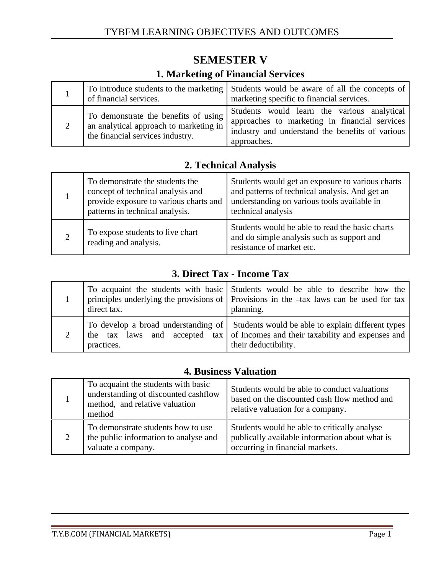| <b>1. Marketing of Financial Services</b> |                                                                                                                    |                                                                                                                                                                |
|-------------------------------------------|--------------------------------------------------------------------------------------------------------------------|----------------------------------------------------------------------------------------------------------------------------------------------------------------|
|                                           | of financial services.                                                                                             | To introduce students to the marketing Students would be aware of all the concepts of<br>marketing specific to financial services.                             |
|                                           | To demonstrate the benefits of using<br>an analytical approach to marketing in<br>the financial services industry. | Students would learn the various analytical<br>approaches to marketing in financial services<br>industry and understand the benefits of various<br>approaches. |

## **SEMESTER V 1. Marketing of Financial Services**

### **2. Technical Analysis**

| To demonstrate the students the<br>concept of technical analysis and<br>provide exposure to various charts and<br>patterns in technical analysis. | Students would get an exposure to various charts<br>and patterns of technical analysis. And get an<br>understanding on various tools available in<br>technical analysis |
|---------------------------------------------------------------------------------------------------------------------------------------------------|-------------------------------------------------------------------------------------------------------------------------------------------------------------------------|
| To expose students to live chart<br>reading and analysis.                                                                                         | Students would be able to read the basic charts<br>and do simple analysis such as support and<br>resistance of market etc.                                              |

#### **3. Direct Tax - Income Tax**

| direct tax. | To acquaint the students with basic Students would be able to describe how the<br>principles underlying the provisions of Provisions in the -tax laws can be used for tax<br>planning.          |
|-------------|-------------------------------------------------------------------------------------------------------------------------------------------------------------------------------------------------|
| practices.  | To develop a broad understanding of Students would be able to explain different types<br>the tax laws and accepted tax of Incomes and their taxability and expenses and<br>their deductibility. |

#### **4. Business Valuation**

|   | To acquaint the students with basic<br>understanding of discounted cashflow<br>method, and relative valuation<br>method | Students would be able to conduct valuations<br>based on the discounted cash flow method and<br>relative valuation for a company. |
|---|-------------------------------------------------------------------------------------------------------------------------|-----------------------------------------------------------------------------------------------------------------------------------|
| 2 | To demonstrate students how to use<br>the public information to analyse and<br>valuate a company.                       | Students would be able to critically analyse<br>publically available information about what is<br>occurring in financial markets. |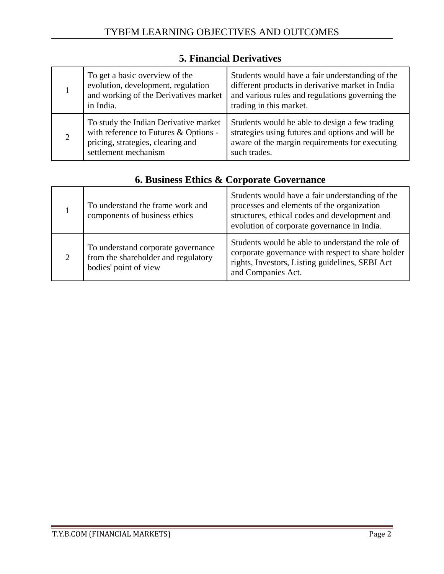|   | To get a basic overview of the<br>evolution, development, regulation<br>and working of the Derivatives market<br>in India.                  | Students would have a fair understanding of the<br>different products in derivative market in India<br>and various rules and regulations governing the<br>trading in this market. |
|---|---------------------------------------------------------------------------------------------------------------------------------------------|-----------------------------------------------------------------------------------------------------------------------------------------------------------------------------------|
| 2 | To study the Indian Derivative market<br>with reference to Futures & Options -<br>pricing, strategies, clearing and<br>settlement mechanism | Students would be able to design a few trading<br>strategies using futures and options and will be<br>aware of the margin requirements for executing<br>such trades.              |

#### **5. Financial Derivatives**

### **6. Business Ethics & Corporate Governance**

| To understand the frame work and<br>components of business ethics                                  | Students would have a fair understanding of the<br>processes and elements of the organization<br>structures, ethical codes and development and<br>evolution of corporate governance in India. |
|----------------------------------------------------------------------------------------------------|-----------------------------------------------------------------------------------------------------------------------------------------------------------------------------------------------|
| To understand corporate governance<br>from the shareholder and regulatory<br>bodies' point of view | Students would be able to understand the role of<br>corporate governance with respect to share holder<br>rights, Investors, Listing guidelines, SEBI Act<br>and Companies Act.                |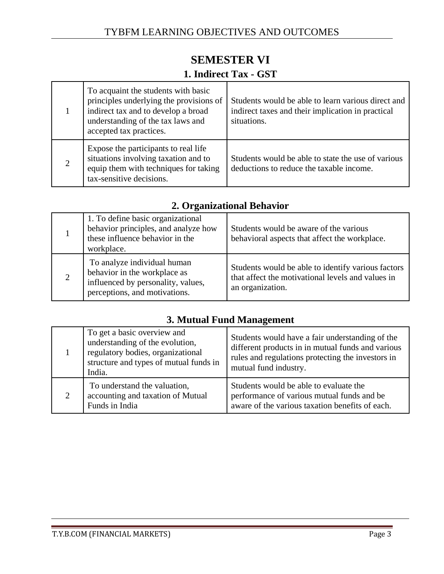### **SEMESTER VI**

#### **1. Indirect Tax - GST**

|                | To acquaint the students with basic<br>principles underlying the provisions of<br>indirect tax and to develop a broad<br>understanding of the tax laws and<br>accepted tax practices. | Students would be able to learn various direct and<br>indirect taxes and their implication in practical<br>situations. |
|----------------|---------------------------------------------------------------------------------------------------------------------------------------------------------------------------------------|------------------------------------------------------------------------------------------------------------------------|
| $\overline{2}$ | Expose the participants to real life<br>situations involving taxation and to<br>equip them with techniques for taking<br>tax-sensitive decisions.                                     | Students would be able to state the use of various<br>deductions to reduce the taxable income.                         |

|                | 1. To define basic organizational<br>behavior principles, and analyze how<br>these influence behavior in the<br>workplace.         | Students would be aware of the various<br>behavioral aspects that affect the workplace.                                     |
|----------------|------------------------------------------------------------------------------------------------------------------------------------|-----------------------------------------------------------------------------------------------------------------------------|
| $\overline{2}$ | To analyze individual human<br>behavior in the workplace as<br>influenced by personality, values,<br>perceptions, and motivations. | Students would be able to identify various factors<br>that affect the motivational levels and values in<br>an organization. |

# **3. Mutual Fund Management**

|   | To get a basic overview and<br>understanding of the evolution,<br>regulatory bodies, organizational<br>structure and types of mutual funds in<br>India. | Students would have a fair understanding of the<br>different products in in mutual funds and various<br>rules and regulations protecting the investors in<br>mutual fund industry. |
|---|---------------------------------------------------------------------------------------------------------------------------------------------------------|------------------------------------------------------------------------------------------------------------------------------------------------------------------------------------|
| 2 | To understand the valuation,<br>accounting and taxation of Mutual<br>Funds in India                                                                     | Students would be able to evaluate the<br>performance of various mutual funds and be<br>aware of the various taxation benefits of each.                                            |